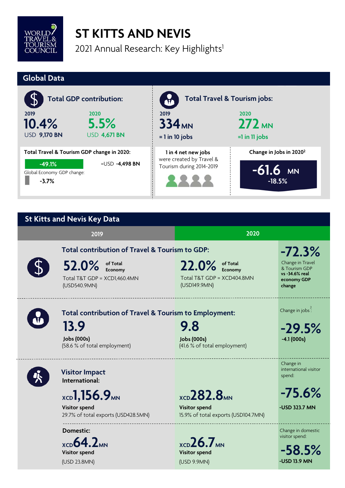

## **ST KITTS AND NEVIS**

2021 Annual Research: Key Highlights<sup>1</sup>

#### **Global Data 1 in 4 net new jobs -3.7% 10.4% Total GDP contribution: 2019 5.5% 2020** USD **9,170 BN** USD **4,671 BN Total Travel & Tourism jobs: 2019 2020** 334<sub>MN</sub> **= 1 in 10 jobs 272 MN Change in Jobs in 20202 -61.6 MN -18.5%** were created by Travel & Tourism during 2014-2019 **Total Travel & Tourism GDP change in 2020:**  =USD **-4,498 BN** Global Economy GDP change: **=1 in 11 jobs -49.1%**